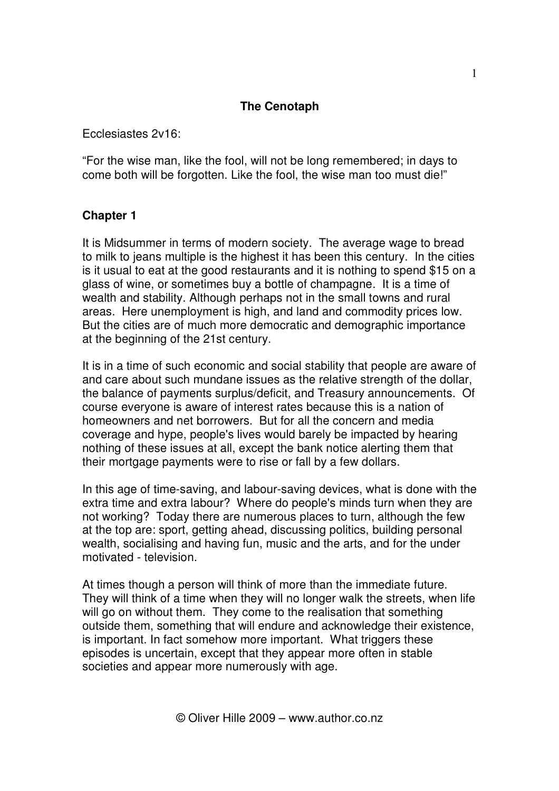## **The Cenotaph**

Ecclesiastes 2v16:

"For the wise man, like the fool, will not be long remembered; in days to come both will be forgotten. Like the fool, the wise man too must die!"

## **Chapter 1**

It is Midsummer in terms of modern society. The average wage to bread to milk to jeans multiple is the highest it has been this century. In the cities is it usual to eat at the good restaurants and it is nothing to spend \$15 on a glass of wine, or sometimes buy a bottle of champagne. It is a time of wealth and stability. Although perhaps not in the small towns and rural areas. Here unemployment is high, and land and commodity prices low. But the cities are of much more democratic and demographic importance at the beginning of the 21st century.

It is in a time of such economic and social stability that people are aware of and care about such mundane issues as the relative strength of the dollar, the balance of payments surplus/deficit, and Treasury announcements. Of course everyone is aware of interest rates because this is a nation of homeowners and net borrowers. But for all the concern and media coverage and hype, people's lives would barely be impacted by hearing nothing of these issues at all, except the bank notice alerting them that their mortgage payments were to rise or fall by a few dollars.

In this age of time-saving, and labour-saving devices, what is done with the extra time and extra labour? Where do people's minds turn when they are not working? Today there are numerous places to turn, although the few at the top are: sport, getting ahead, discussing politics, building personal wealth, socialising and having fun, music and the arts, and for the under motivated - television.

At times though a person will think of more than the immediate future. They will think of a time when they will no longer walk the streets, when life will go on without them. They come to the realisation that something outside them, something that will endure and acknowledge their existence, is important. In fact somehow more important. What triggers these episodes is uncertain, except that they appear more often in stable societies and appear more numerously with age.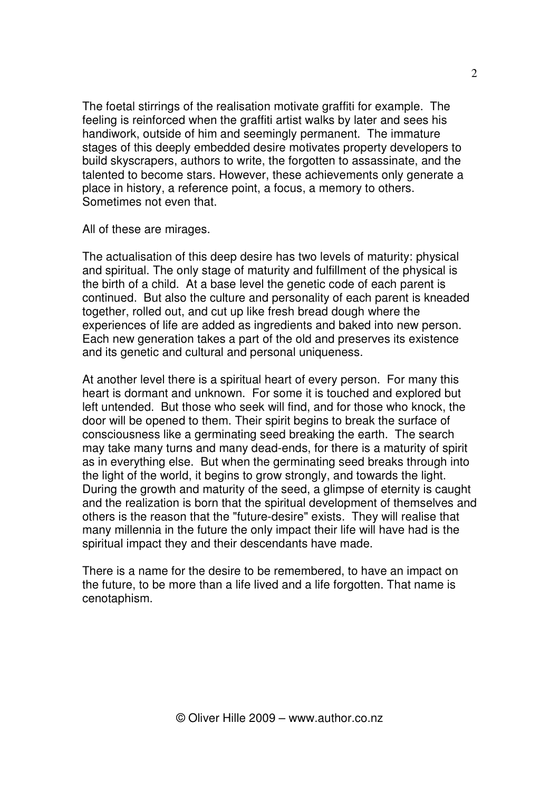The foetal stirrings of the realisation motivate graffiti for example. The feeling is reinforced when the graffiti artist walks by later and sees his handiwork, outside of him and seemingly permanent. The immature stages of this deeply embedded desire motivates property developers to build skyscrapers, authors to write, the forgotten to assassinate, and the talented to become stars. However, these achievements only generate a place in history, a reference point, a focus, a memory to others. Sometimes not even that.

All of these are mirages.

The actualisation of this deep desire has two levels of maturity: physical and spiritual. The only stage of maturity and fulfillment of the physical is the birth of a child. At a base level the genetic code of each parent is continued. But also the culture and personality of each parent is kneaded together, rolled out, and cut up like fresh bread dough where the experiences of life are added as ingredients and baked into new person. Each new generation takes a part of the old and preserves its existence and its genetic and cultural and personal uniqueness.

At another level there is a spiritual heart of every person. For many this heart is dormant and unknown. For some it is touched and explored but left untended. But those who seek will find, and for those who knock, the door will be opened to them. Their spirit begins to break the surface of consciousness like a germinating seed breaking the earth. The search may take many turns and many dead-ends, for there is a maturity of spirit as in everything else. But when the germinating seed breaks through into the light of the world, it begins to grow strongly, and towards the light. During the growth and maturity of the seed, a glimpse of eternity is caught and the realization is born that the spiritual development of themselves and others is the reason that the "future-desire" exists. They will realise that many millennia in the future the only impact their life will have had is the spiritual impact they and their descendants have made.

There is a name for the desire to be remembered, to have an impact on the future, to be more than a life lived and a life forgotten. That name is cenotaphism.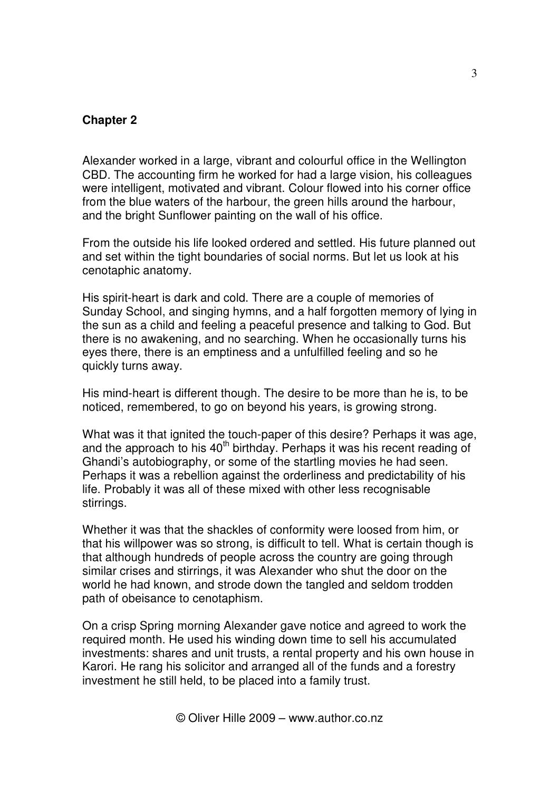## **Chapter 2**

Alexander worked in a large, vibrant and colourful office in the Wellington CBD. The accounting firm he worked for had a large vision, his colleagues were intelligent, motivated and vibrant. Colour flowed into his corner office from the blue waters of the harbour, the green hills around the harbour, and the bright Sunflower painting on the wall of his office.

From the outside his life looked ordered and settled. His future planned out and set within the tight boundaries of social norms. But let us look at his cenotaphic anatomy.

His spirit-heart is dark and cold. There are a couple of memories of Sunday School, and singing hymns, and a half forgotten memory of lying in the sun as a child and feeling a peaceful presence and talking to God. But there is no awakening, and no searching. When he occasionally turns his eyes there, there is an emptiness and a unfulfilled feeling and so he quickly turns away.

His mind-heart is different though. The desire to be more than he is, to be noticed, remembered, to go on beyond his years, is growing strong.

What was it that ignited the touch-paper of this desire? Perhaps it was age, and the approach to his 40<sup>th</sup> birthday. Perhaps it was his recent reading of Ghandi's autobiography, or some of the startling movies he had seen. Perhaps it was a rebellion against the orderliness and predictability of his life. Probably it was all of these mixed with other less recognisable stirrings.

Whether it was that the shackles of conformity were loosed from him, or that his willpower was so strong, is difficult to tell. What is certain though is that although hundreds of people across the country are going through similar crises and stirrings, it was Alexander who shut the door on the world he had known, and strode down the tangled and seldom trodden path of obeisance to cenotaphism.

On a crisp Spring morning Alexander gave notice and agreed to work the required month. He used his winding down time to sell his accumulated investments: shares and unit trusts, a rental property and his own house in Karori. He rang his solicitor and arranged all of the funds and a forestry investment he still held, to be placed into a family trust.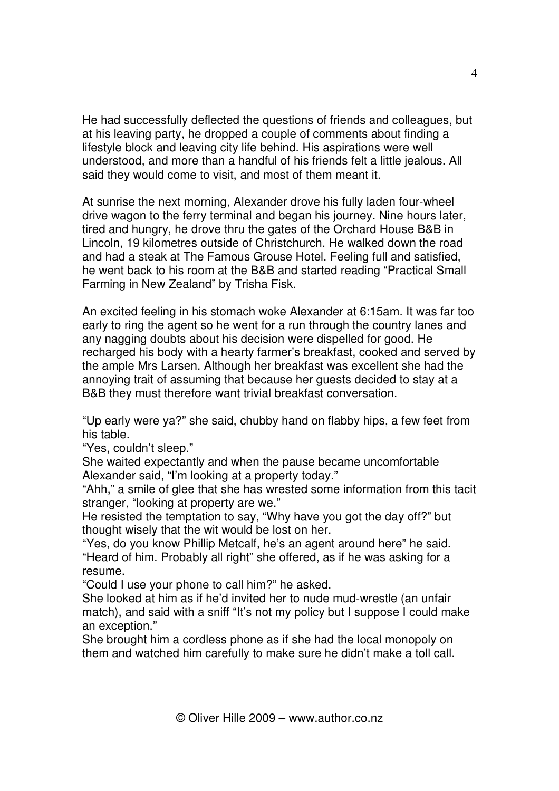He had successfully deflected the questions of friends and colleagues, but at his leaving party, he dropped a couple of comments about finding a lifestyle block and leaving city life behind. His aspirations were well understood, and more than a handful of his friends felt a little jealous. All said they would come to visit, and most of them meant it.

At sunrise the next morning, Alexander drove his fully laden four-wheel drive wagon to the ferry terminal and began his journey. Nine hours later, tired and hungry, he drove thru the gates of the Orchard House B&B in Lincoln, 19 kilometres outside of Christchurch. He walked down the road and had a steak at The Famous Grouse Hotel. Feeling full and satisfied, he went back to his room at the B&B and started reading "Practical Small Farming in New Zealand" by Trisha Fisk.

An excited feeling in his stomach woke Alexander at 6:15am. It was far too early to ring the agent so he went for a run through the country lanes and any nagging doubts about his decision were dispelled for good. He recharged his body with a hearty farmer's breakfast, cooked and served by the ample Mrs Larsen. Although her breakfast was excellent she had the annoying trait of assuming that because her guests decided to stay at a B&B they must therefore want trivial breakfast conversation.

"Up early were ya?" she said, chubby hand on flabby hips, a few feet from his table.

"Yes, couldn't sleep."

She waited expectantly and when the pause became uncomfortable Alexander said, "I'm looking at a property today."

"Ahh," a smile of glee that she has wrested some information from this tacit stranger, "looking at property are we."

He resisted the temptation to say, "Why have you got the day off?" but thought wisely that the wit would be lost on her.

"Yes, do you know Phillip Metcalf, he's an agent around here" he said. "Heard of him. Probably all right" she offered, as if he was asking for a resume.

"Could I use your phone to call him?" he asked.

She looked at him as if he'd invited her to nude mud-wrestle (an unfair match), and said with a sniff "It's not my policy but I suppose I could make an exception."

She brought him a cordless phone as if she had the local monopoly on them and watched him carefully to make sure he didn't make a toll call.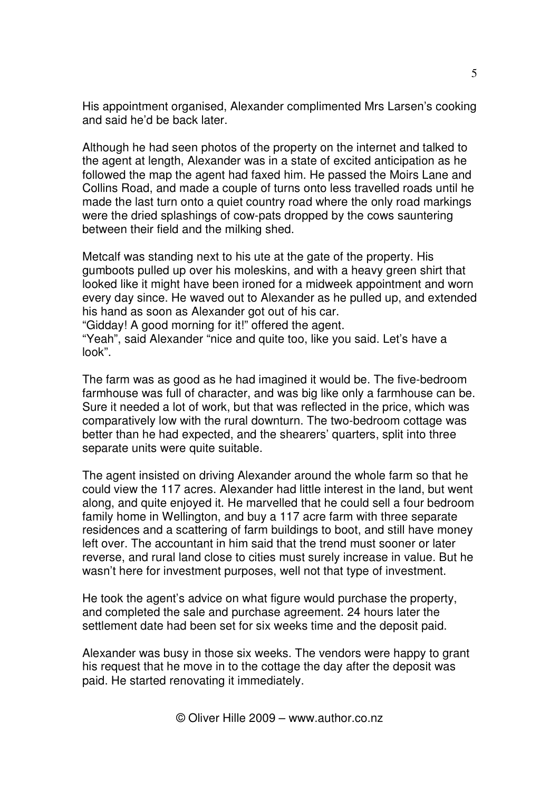His appointment organised, Alexander complimented Mrs Larsen's cooking and said he'd be back later.

Although he had seen photos of the property on the internet and talked to the agent at length, Alexander was in a state of excited anticipation as he followed the map the agent had faxed him. He passed the Moirs Lane and Collins Road, and made a couple of turns onto less travelled roads until he made the last turn onto a quiet country road where the only road markings were the dried splashings of cow-pats dropped by the cows sauntering between their field and the milking shed.

Metcalf was standing next to his ute at the gate of the property. His gumboots pulled up over his moleskins, and with a heavy green shirt that looked like it might have been ironed for a midweek appointment and worn every day since. He waved out to Alexander as he pulled up, and extended his hand as soon as Alexander got out of his car.

"Gidday! A good morning for it!" offered the agent.

"Yeah", said Alexander "nice and quite too, like you said. Let's have a look".

The farm was as good as he had imagined it would be. The five-bedroom farmhouse was full of character, and was big like only a farmhouse can be. Sure it needed a lot of work, but that was reflected in the price, which was comparatively low with the rural downturn. The two-bedroom cottage was better than he had expected, and the shearers' quarters, split into three separate units were quite suitable.

The agent insisted on driving Alexander around the whole farm so that he could view the 117 acres. Alexander had little interest in the land, but went along, and quite enjoyed it. He marvelled that he could sell a four bedroom family home in Wellington, and buy a 117 acre farm with three separate residences and a scattering of farm buildings to boot, and still have money left over. The accountant in him said that the trend must sooner or later reverse, and rural land close to cities must surely increase in value. But he wasn't here for investment purposes, well not that type of investment.

He took the agent's advice on what figure would purchase the property, and completed the sale and purchase agreement. 24 hours later the settlement date had been set for six weeks time and the deposit paid.

Alexander was busy in those six weeks. The vendors were happy to grant his request that he move in to the cottage the day after the deposit was paid. He started renovating it immediately.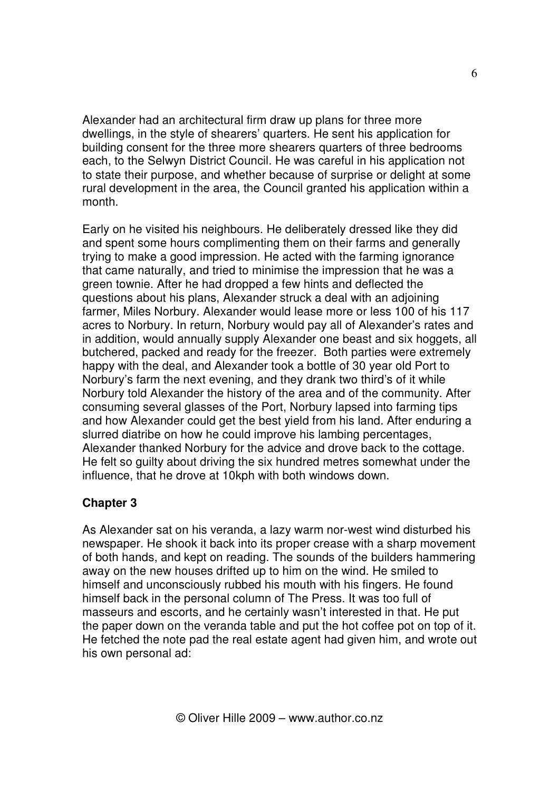Alexander had an architectural firm draw up plans for three more dwellings, in the style of shearers' quarters. He sent his application for building consent for the three more shearers quarters of three bedrooms each, to the Selwyn District Council. He was careful in his application not to state their purpose, and whether because of surprise or delight at some rural development in the area, the Council granted his application within a month.

Early on he visited his neighbours. He deliberately dressed like they did and spent some hours complimenting them on their farms and generally trying to make a good impression. He acted with the farming ignorance that came naturally, and tried to minimise the impression that he was a green townie. After he had dropped a few hints and deflected the questions about his plans, Alexander struck a deal with an adjoining farmer, Miles Norbury. Alexander would lease more or less 100 of his 117 acres to Norbury. In return, Norbury would pay all of Alexander's rates and in addition, would annually supply Alexander one beast and six hoggets, all butchered, packed and ready for the freezer. Both parties were extremely happy with the deal, and Alexander took a bottle of 30 year old Port to Norbury's farm the next evening, and they drank two third's of it while Norbury told Alexander the history of the area and of the community. After consuming several glasses of the Port, Norbury lapsed into farming tips and how Alexander could get the best yield from his land. After enduring a slurred diatribe on how he could improve his lambing percentages, Alexander thanked Norbury for the advice and drove back to the cottage. He felt so guilty about driving the six hundred metres somewhat under the influence, that he drove at 10kph with both windows down.

## **Chapter 3**

As Alexander sat on his veranda, a lazy warm nor-west wind disturbed his newspaper. He shook it back into its proper crease with a sharp movement of both hands, and kept on reading. The sounds of the builders hammering away on the new houses drifted up to him on the wind. He smiled to himself and unconsciously rubbed his mouth with his fingers. He found himself back in the personal column of The Press. It was too full of masseurs and escorts, and he certainly wasn't interested in that. He put the paper down on the veranda table and put the hot coffee pot on top of it. He fetched the note pad the real estate agent had given him, and wrote out his own personal ad: